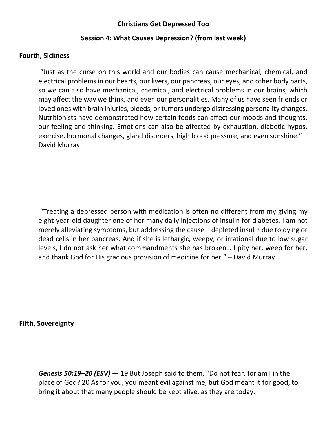## **Christians Get Depressed Too**

## **Session 4: What Causes Depression? (from last week)**

#### **Fourth, Sickness**

"Just as the curse on this world and our bodies can cause mechanical, chemical, and electrical problems in our hearts, our livers, our pancreas, our eyes, and other body parts, so we can also have mechanical, chemical, and electrical problems in our brains, which may affect the way we think, and even our personalities. Many of us have seen friends or loved ones with brain injuries, bleeds, or tumors undergo distressing personality changes. Nutritionists have demonstrated how certain foods can affect our moods and thoughts, our feeling and thinking. Emotions can also be affected by exhaustion, diabetic hypos, exercise, hormonal changes, gland disorders, high blood pressure, and even sunshine." – David Murray

"Treating a depressed person with medication is often no different from my giving my eight-year-old daughter one of her many daily injections of insulin for diabetes. I am not merely alleviating symptoms, but addressing the cause—depleted insulin due to dying or dead cells in her pancreas. And if she is lethargic, weepy, or irrational due to low sugar levels, I do not ask her what commandments she has broken… I pity her, weep for her, and thank God for His gracious provision of medicine for her." – David Murray

**Fifth, Sovereignty**

*Genesis 50:19–20 (ESV)* — 19 But Joseph said to them, "Do not fear, for am I in the place of God? 20 As for you, you meant evil against me, but God meant it for good, to bring it about that many people should be kept alive, as they are today.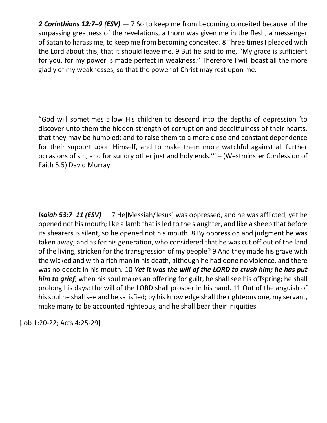*2 Corinthians 12:7–9 (ESV)* — 7 So to keep me from becoming conceited because of the surpassing greatness of the revelations, a thorn was given me in the flesh, a messenger of Satan to harass me, to keep me from becoming conceited. 8 Three times I pleaded with the Lord about this, that it should leave me. 9 But he said to me, "My grace is sufficient for you, for my power is made perfect in weakness." Therefore I will boast all the more gladly of my weaknesses, so that the power of Christ may rest upon me.

"God will sometimes allow His children to descend into the depths of depression 'to discover unto them the hidden strength of corruption and deceitfulness of their hearts, that they may be humbled; and to raise them to a more close and constant dependence for their support upon Himself, and to make them more watchful against all further occasions of sin, and for sundry other just and holy ends.'" – (Westminster Confession of Faith 5.5) David Murray

*Isaiah 53:7–11 (ESV)* — 7 He[Messiah/Jesus] was oppressed, and he was afflicted, yet he opened not his mouth; like a lamb that is led to the slaughter, and like a sheep that before its shearers is silent, so he opened not his mouth. 8 By oppression and judgment he was taken away; and as for his generation, who considered that he was cut off out of the land of the living, stricken for the transgression of my people? 9 And they made his grave with the wicked and with a rich man in his death, although he had done no violence, and there was no deceit in his mouth. 10 *Yet it was the will of the LORD to crush him; he has put him to grief*; when his soul makes an offering for guilt, he shall see his offspring; he shall prolong his days; the will of the LORD shall prosper in his hand. 11 Out of the anguish of his soul he shall see and be satisfied; by his knowledge shall the righteous one, my servant, make many to be accounted righteous, and he shall bear their iniquities.

[Job 1:20-22; Acts 4:25-29]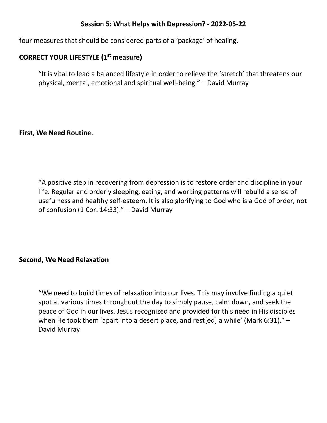## **Session 5: What Helps with Depression? - 2022-05-22**

four measures that should be considered parts of a 'package' of healing.

# **CORRECT YOUR LIFESTYLE (1st measure)**

"It is vital to lead a balanced lifestyle in order to relieve the 'stretch' that threatens our physical, mental, emotional and spiritual well-being." – David Murray

#### **First, We Need Routine.**

"A positive step in recovering from depression is to restore order and discipline in your life. Regular and orderly sleeping, eating, and working patterns will rebuild a sense of usefulness and healthy self-esteem. It is also glorifying to God who is a God of order, not of confusion (1 Cor. 14:33)." – David Murray

#### **Second, We Need Relaxation**

"We need to build times of relaxation into our lives. This may involve finding a quiet spot at various times throughout the day to simply pause, calm down, and seek the peace of God in our lives. Jesus recognized and provided for this need in His disciples when He took them 'apart into a desert place, and rest[ed] a while' (Mark 6:31)." -David Murray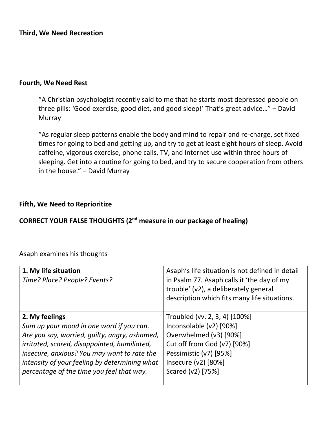**Third, We Need Recreation**

#### **Fourth, We Need Rest**

"A Christian psychologist recently said to me that he starts most depressed people on three pills: 'Good exercise, good diet, and good sleep!' That's great advice…" – David Murray

"As regular sleep patterns enable the body and mind to repair and re-charge, set fixed times for going to bed and getting up, and try to get at least eight hours of sleep. Avoid caffeine, vigorous exercise, phone calls, TV, and Internet use within three hours of sleeping. Get into a routine for going to bed, and try to secure cooperation from others in the house." – David Murray

#### **Fifth, We Need to Reprioritize**

# **CORRECT YOUR FALSE THOUGHTS (2nd measure in our package of healing)**

Asaph examines his thoughts

| 1. My life situation<br>Time? Place? People? Events? | Asaph's life situation is not defined in detail<br>in Psalm 77. Asaph calls it 'the day of my<br>trouble' (v2), a deliberately general<br>description which fits many life situations. |
|------------------------------------------------------|----------------------------------------------------------------------------------------------------------------------------------------------------------------------------------------|
| 2. My feelings                                       | Troubled (vv. 2, 3, 4) [100%]                                                                                                                                                          |
| Sum up your mood in one word if you can.             | Inconsolable (v2) [90%]                                                                                                                                                                |
| Are you say, worried, guilty, angry, ashamed,        | Overwhelmed (v3) [90%]                                                                                                                                                                 |
| irritated, scared, disappointed, humiliated,         | Cut off from God (v7) [90%]                                                                                                                                                            |
| insecure, anxious? You may want to rate the          | Pessimistic (v7) [95%]                                                                                                                                                                 |
| intensity of your feeling by determining what        | Insecure $(v2)$ [80%]                                                                                                                                                                  |
| percentage of the time you feel that way.            | Scared (v2) [75%]                                                                                                                                                                      |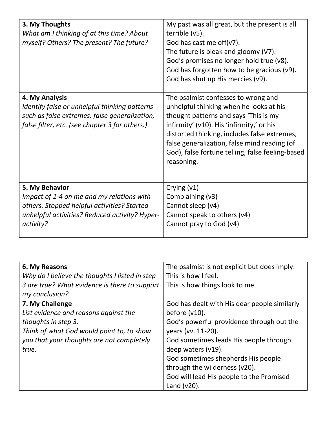| 3. My Thoughts<br>What am I thinking of at this time? About<br>myself? Others? The present? The future?                                                                   | My past was all great, but the present is all<br>terrible (v5).<br>God has cast me off( $v7$ ).<br>The future is bleak and gloomy (V7).<br>God's promises no longer hold true (v8).<br>God has forgotten how to be gracious (v9).<br>God has shut up His mercies (v9).                                                                 |
|---------------------------------------------------------------------------------------------------------------------------------------------------------------------------|----------------------------------------------------------------------------------------------------------------------------------------------------------------------------------------------------------------------------------------------------------------------------------------------------------------------------------------|
| 4. My Analysis<br>Identify false or unhelpful thinking patterns<br>such as false extremes, false generalization,<br>false filter, etc. (see chapter 3 for others.)        | The psalmist confesses to wrong and<br>unhelpful thinking when he looks at his<br>thought patterns and says 'This is my<br>infirmity' (v10). His 'infirmity,' or his<br>distorted thinking, includes false extremes,<br>false generalization, false mind reading (of<br>God), false fortune telling, false feeling-based<br>reasoning. |
| 5. My Behavior<br>Impact of 1-4 on me and my relations with<br>others. Stopped helpful activities? Started<br>unhelpful activities? Reduced activity? Hyper-<br>activity? | Crying $(v1)$<br>Complaining (v3)<br>Cannot sleep (v4)<br>Cannot speak to others (v4)<br>Cannot pray to God (v4)                                                                                                                                                                                                                       |

| 6. My Reasons                                  | The psalmist is not explicit but does imply: |
|------------------------------------------------|----------------------------------------------|
| Why do I believe the thoughts I listed in step | This is how I feel.                          |
| 3 are true? What evidence is there to support  | This is how things look to me.               |
| my conclusion?                                 |                                              |
| 7. My Challenge                                | God has dealt with His dear people similarly |
| List evidence and reasons against the          | before $(v10)$ .                             |
| thoughts in step 3.                            | God's powerful providence through out the    |
| Think of what God would point to, to show      | years (vv. 11-20).                           |
| you that your thoughts are not completely      | God sometimes leads His people through       |
| true.                                          | deep waters (v19).                           |
|                                                | God sometimes shepherds His people           |
|                                                | through the wilderness (v20).                |
|                                                | God will lead His people to the Promised     |
|                                                | Land $(v20)$ .                               |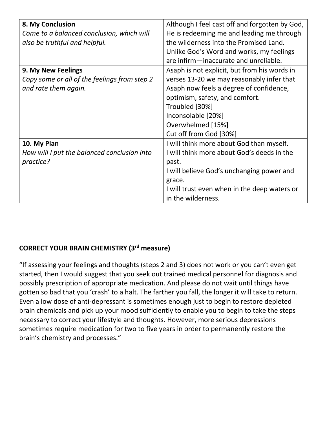| 8. My Conclusion                             | Although I feel cast off and forgotten by God, |
|----------------------------------------------|------------------------------------------------|
| Come to a balanced conclusion, which will    | He is redeeming me and leading me through      |
| also be truthful and helpful.                | the wilderness into the Promised Land.         |
|                                              | Unlike God's Word and works, my feelings       |
|                                              | are infirm-inaccurate and unreliable.          |
| 9. My New Feelings                           | Asaph is not explicit, but from his words in   |
| Copy some or all of the feelings from step 2 | verses 13-20 we may reasonably infer that      |
| and rate them again.                         | Asaph now feels a degree of confidence,        |
|                                              | optimism, safety, and comfort.                 |
|                                              | Troubled [30%]                                 |
|                                              | Inconsolable [20%]                             |
|                                              | Overwhelmed [15%]                              |
|                                              | Cut off from God [30%]                         |
| 10. My Plan                                  | I will think more about God than myself.       |
| How will I put the balanced conclusion into  | I will think more about God's deeds in the     |
| practice?                                    | past.                                          |
|                                              | I will believe God's unchanging power and      |
|                                              | grace.                                         |
|                                              | I will trust even when in the deep waters or   |
|                                              | in the wilderness.                             |

# **CORRECT YOUR BRAIN CHEMISTRY (3rd measure)**

"If assessing your feelings and thoughts (steps 2 and 3) does not work or you can't even get started, then I would suggest that you seek out trained medical personnel for diagnosis and possibly prescription of appropriate medication. And please do not wait until things have gotten so bad that you 'crash' to a halt. The farther you fall, the longer it will take to return. Even a low dose of anti-depressant is sometimes enough just to begin to restore depleted brain chemicals and pick up your mood sufficiently to enable you to begin to take the steps necessary to correct your lifestyle and thoughts. However, more serious depressions sometimes require medication for two to five years in order to permanently restore the brain's chemistry and processes."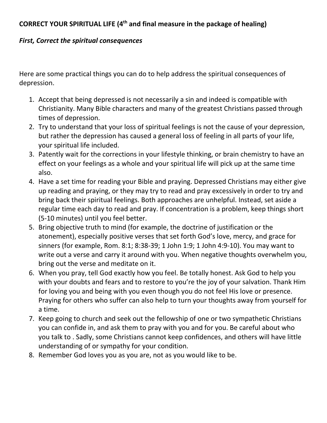# **CORRECT YOUR SPIRITUAL LIFE (4th and final measure in the package of healing)**

# *First, Correct the spiritual consequences*

Here are some practical things you can do to help address the spiritual consequences of depression.

- 1. Accept that being depressed is not necessarily a sin and indeed is compatible with Christianity. Many Bible characters and many of the greatest Christians passed through times of depression.
- 2. Try to understand that your loss of spiritual feelings is not the cause of your depression, but rather the depression has caused a general loss of feeling in all parts of your life, your spiritual life included.
- 3. Patently wait for the corrections in your lifestyle thinking, or brain chemistry to have an effect on your feelings as a whole and your spiritual life will pick up at the same time also.
- 4. Have a set time for reading your Bible and praying. Depressed Christians may either give up reading and praying, or they may try to read and pray excessively in order to try and bring back their spiritual feelings. Both approaches are unhelpful. Instead, set aside a regular time each day to read and pray. If concentration is a problem, keep things short (5-10 minutes) until you feel better.
- 5. Bring objective truth to mind (for example, the doctrine of justification or the atonement), especially positive verses that set forth God's love, mercy, and grace for sinners (for example, Rom. 8:1; 8:38-39; 1 John 1:9; 1 John 4:9-10). You may want to write out a verse and carry it around with you. When negative thoughts overwhelm you, bring out the verse and meditate on it.
- 6. When you pray, tell God exactly how you feel. Be totally honest. Ask God to help you with your doubts and fears and to restore to you're the joy of your salvation. Thank Him for loving you and being with you even though you do not feel His love or presence. Praying for others who suffer can also help to turn your thoughts away from yourself for a time.
- 7. Keep going to church and seek out the fellowship of one or two sympathetic Christians you can confide in, and ask them to pray with you and for you. Be careful about who you talk to . Sadly, some Christians cannot keep confidences, and others will have little understanding of or sympathy for your condition.
- 8. Remember God loves you as you are, not as you would like to be.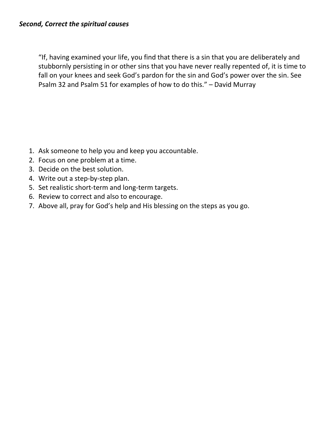"If, having examined your life, you find that there is a sin that you are deliberately and stubbornly persisting in or other sins that you have never really repented of, it is time to fall on your knees and seek God's pardon for the sin and God's power over the sin. See Psalm 32 and Psalm 51 for examples of how to do this." – David Murray

- 1. Ask someone to help you and keep you accountable.
- 2. Focus on one problem at a time.
- 3. Decide on the best solution.
- 4. Write out a step-by-step plan.
- 5. Set realistic short-term and long-term targets.
- 6. Review to correct and also to encourage.
- 7. Above all, pray for God's help and His blessing on the steps as you go.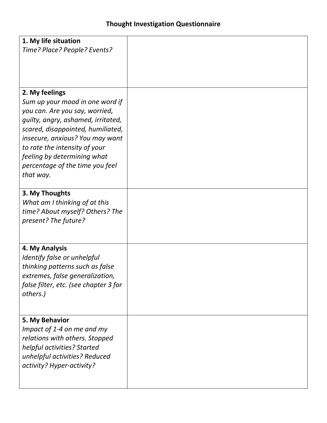| 1. My life situation<br>Time? Place? People? Events?                                                                                                                                                                                                                                                              |  |
|-------------------------------------------------------------------------------------------------------------------------------------------------------------------------------------------------------------------------------------------------------------------------------------------------------------------|--|
| 2. My feelings<br>Sum up your mood in one word if<br>you can. Are you say, worried,<br>guilty, angry, ashamed, irritated,<br>scared, disappointed, humiliated,<br>insecure, anxious? You may want<br>to rate the intensity of your<br>feeling by determining what<br>percentage of the time you feel<br>that way. |  |
| 3. My Thoughts<br>What am I thinking of at this<br>time? About myself? Others? The<br>present? The future?                                                                                                                                                                                                        |  |
| 4. My Analysis<br>Identify false or unhelpful<br>thinking patterns such as false<br>extremes, false generalization,<br>false filter, etc. (see chapter 3 for<br>others.)                                                                                                                                          |  |
| 5. My Behavior<br>Impact of 1-4 on me and my<br>relations with others. Stopped<br>helpful activities? Started<br>unhelpful activities? Reduced<br>activity? Hyper-activity?                                                                                                                                       |  |